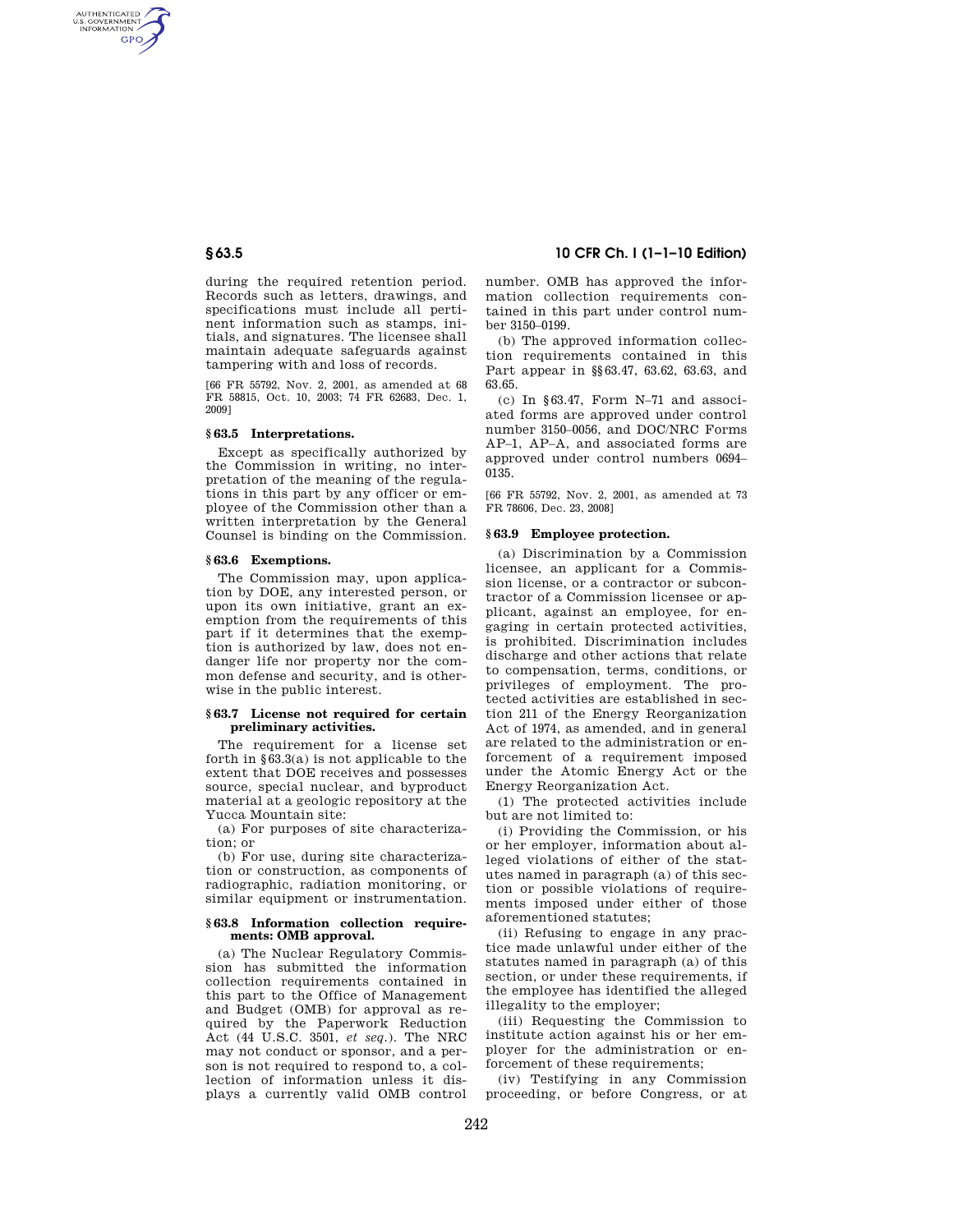AUTHENTICATED<br>U.S. GOVERNMENT<br>INFORMATION **GPO** 

> during the required retention period. Records such as letters, drawings, and specifications must include all pertinent information such as stamps, initials, and signatures. The licensee shall maintain adequate safeguards against tampering with and loss of records.

> [66 FR 55792, Nov. 2, 2001, as amended at 68 FR 58815, Oct. 10, 2003; 74 FR 62683, Dec. 1, 2009]

## **§ 63.5 Interpretations.**

Except as specifically authorized by the Commission in writing, no interpretation of the meaning of the regulations in this part by any officer or employee of the Commission other than a written interpretation by the General Counsel is binding on the Commission.

#### **§ 63.6 Exemptions.**

The Commission may, upon application by DOE, any interested person, or upon its own initiative, grant an exemption from the requirements of this part if it determines that the exemption is authorized by law, does not endanger life nor property nor the common defense and security, and is otherwise in the public interest.

#### **§ 63.7 License not required for certain preliminary activities.**

The requirement for a license set forth in  $\S 63.3(a)$  is not applicable to the extent that DOE receives and possesses source, special nuclear, and byproduct material at a geologic repository at the Yucca Mountain site:

(a) For purposes of site characterization; or

(b) For use, during site characterization or construction, as components of radiographic, radiation monitoring, or similar equipment or instrumentation.

## **§ 63.8 Information collection requirements: OMB approval.**

(a) The Nuclear Regulatory Commission has submitted the information collection requirements contained in this part to the Office of Management and Budget (OMB) for approval as required by the Paperwork Reduction Act (44 U.S.C. 3501, *et seq.*). The NRC may not conduct or sponsor, and a person is not required to respond to, a collection of information unless it displays a currently valid OMB control

# **§ 63.5 10 CFR Ch. I (1–1–10 Edition)**

number. OMB has approved the information collection requirements contained in this part under control number 3150–0199.

(b) The approved information collection requirements contained in this Part appear in §§63.47, 63.62, 63.63, and 63.65.

(c) In §63.47, Form N–71 and associated forms are approved under control number 3150–0056, and DOC/NRC Forms AP–1, AP–A, and associated forms are approved under control numbers 0694– 0135.

[66 FR 55792, Nov. 2, 2001, as amended at 73 FR 78606, Dec. 23, 2008]

#### **§ 63.9 Employee protection.**

(a) Discrimination by a Commission licensee, an applicant for a Commission license, or a contractor or subcontractor of a Commission licensee or applicant, against an employee, for engaging in certain protected activities, is prohibited. Discrimination includes discharge and other actions that relate to compensation, terms, conditions, or privileges of employment. The protected activities are established in section 211 of the Energy Reorganization Act of 1974, as amended, and in general are related to the administration or enforcement of a requirement imposed under the Atomic Energy Act or the Energy Reorganization Act.

(1) The protected activities include but are not limited to:

(i) Providing the Commission, or his or her employer, information about alleged violations of either of the statutes named in paragraph (a) of this section or possible violations of requirements imposed under either of those aforementioned statutes;

(ii) Refusing to engage in any practice made unlawful under either of the statutes named in paragraph (a) of this section, or under these requirements, if the employee has identified the alleged illegality to the employer;

(iii) Requesting the Commission to institute action against his or her employer for the administration or enforcement of these requirements:

(iv) Testifying in any Commission proceeding, or before Congress, or at